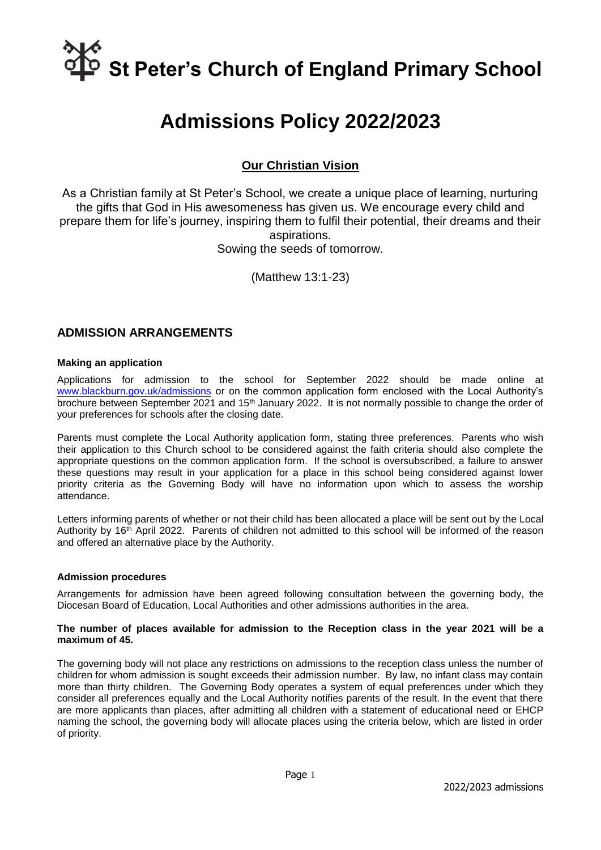# **St Peter's Church of England Primary School**

# **Admissions Policy 2022/2023**

# **Our Christian Vision**

As a Christian family at St Peter's School, we create a unique place of learning, nurturing the gifts that God in His awesomeness has given us. We encourage every child and prepare them for life's journey, inspiring them to fulfil their potential, their dreams and their aspirations. Sowing the seeds of tomorrow.

(Matthew 13:1-23)

### **ADMISSION ARRANGEMENTS**

#### **Making an application**

Applications for admission to the school for September 2022 should be made online at [www.blackburn.gov.uk/admissions](http://www.blackburn.gov.uk/admissions) or on the common application form enclosed with the Local Authority's brochure between September 2021 and  $15<sup>th</sup>$  January 2022. It is not normally possible to change the order of your preferences for schools after the closing date.

Parents must complete the Local Authority application form, stating three preferences. Parents who wish their application to this Church school to be considered against the faith criteria should also complete the appropriate questions on the common application form. If the school is oversubscribed, a failure to answer these questions may result in your application for a place in this school being considered against lower priority criteria as the Governing Body will have no information upon which to assess the worship attendance.

Letters informing parents of whether or not their child has been allocated a place will be sent out by the Local Authority by 16<sup>th</sup> April 2022. Parents of children not admitted to this school will be informed of the reason and offered an alternative place by the Authority.

#### **Admission procedures**

Arrangements for admission have been agreed following consultation between the governing body, the Diocesan Board of Education, Local Authorities and other admissions authorities in the area.

#### **The number of places available for admission to the Reception class in the year 2021 will be a maximum of 45.**

The governing body will not place any restrictions on admissions to the reception class unless the number of children for whom admission is sought exceeds their admission number. By law, no infant class may contain more than thirty children. The Governing Body operates a system of equal preferences under which they consider all preferences equally and the Local Authority notifies parents of the result. In the event that there are more applicants than places, after admitting all children with a statement of educational need or EHCP naming the school, the governing body will allocate places using the criteria below, which are listed in order of priority.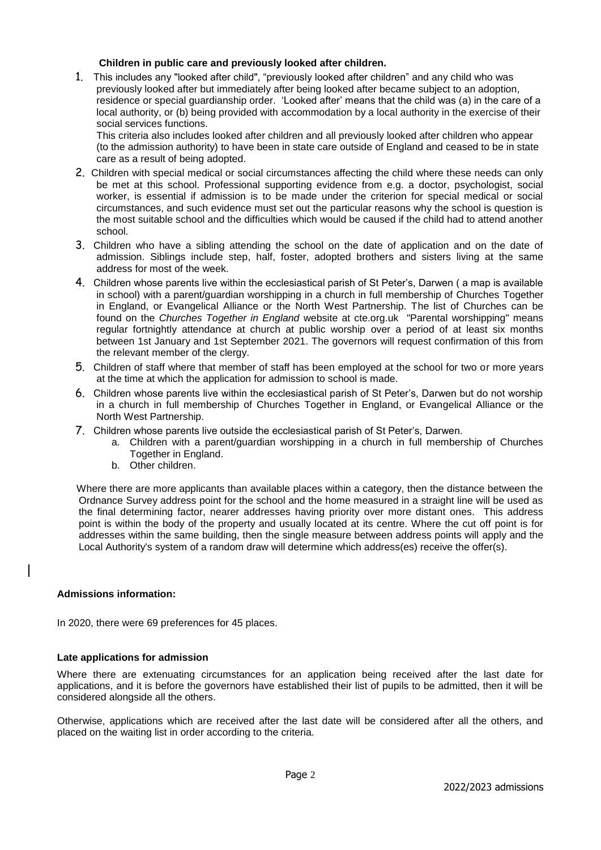#### **Children in public care and previously looked after children.**

1. This includes any "looked after child", "previously looked after children" and any child who was previously looked after but immediately after being looked after became subject to an adoption, residence or special guardianship order. 'Looked after' means that the child was (a) in the care of a local authority, or (b) being provided with accommodation by a local authority in the exercise of their social services functions.

This criteria also includes looked after children and all previously looked after children who appear (to the admission authority) to have been in state care outside of England and ceased to be in state care as a result of being adopted.

- 2. Children with special medical or social circumstances affecting the child where these needs can only be met at this school. Professional supporting evidence from e.g. a doctor, psychologist, social worker, is essential if admission is to be made under the criterion for special medical or social circumstances, and such evidence must set out the particular reasons why the school is question is the most suitable school and the difficulties which would be caused if the child had to attend another school.
- 3. Children who have a sibling attending the school on the date of application and on the date of admission. Siblings include step, half, foster, adopted brothers and sisters living at the same address for most of the week.
- 4. Children whose parents live within the ecclesiastical parish of St Peter's, Darwen ( a map is available in school) with a parent/guardian worshipping in a church in full membership of Churches Together in England, or Evangelical Alliance or the North West Partnership. The list of Churches can be found on the *Churches Together in England* website at cte.org.uk "Parental worshipping" means regular fortnightly attendance at church at public worship over a period of at least six months between 1st January and 1st September 2021. The governors will request confirmation of this from the relevant member of the clergy.
- 5. Children of staff where that member of staff has been employed at the school for two or more years at the time at which the application for admission to school is made.
- 6. Children whose parents live within the ecclesiastical parish of St Peter's, Darwen but do not worship in a church in full membership of Churches Together in England, or Evangelical Alliance or the North West Partnership.
- 7. Children whose parents live outside the ecclesiastical parish of St Peter's, Darwen.
	- a. Children with a parent/guardian worshipping in a church in full membership of Churches Together in England.
	- b. Other children.

 Where there are more applicants than available places within a category, then the distance between the Ordnance Survey address point for the school and the home measured in a straight line will be used as the final determining factor, nearer addresses having priority over more distant ones. This address point is within the body of the property and usually located at its centre. Where the cut off point is for addresses within the same building, then the single measure between address points will apply and the Local Authority's system of a random draw will determine which address(es) receive the offer(s).

#### **Admissions information:**

In 2020, there were 69 preferences for 45 places.

#### **Late applications for admission**

Where there are extenuating circumstances for an application being received after the last date for applications, and it is before the governors have established their list of pupils to be admitted, then it will be considered alongside all the others.

Otherwise, applications which are received after the last date will be considered after all the others, and placed on the waiting list in order according to the criteria.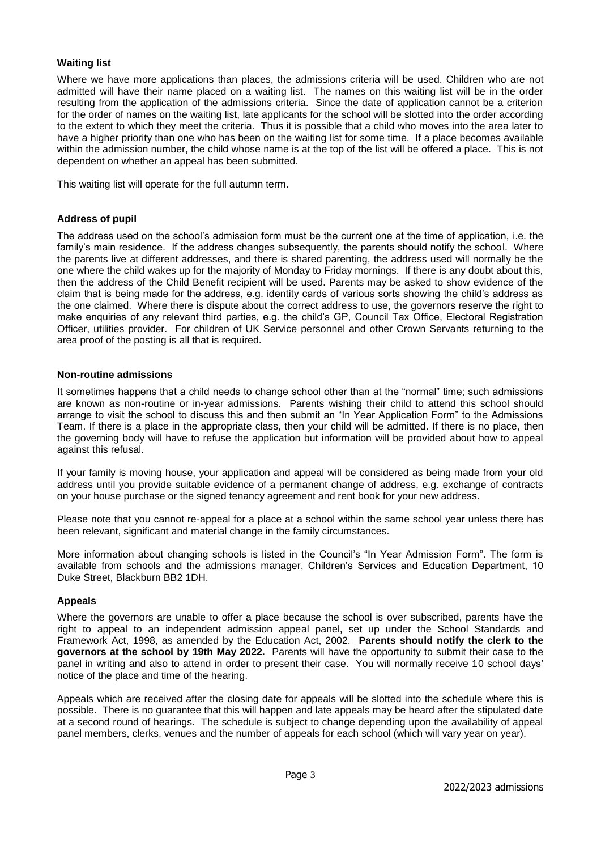#### **Waiting list**

Where we have more applications than places, the admissions criteria will be used. Children who are not admitted will have their name placed on a waiting list. The names on this waiting list will be in the order resulting from the application of the admissions criteria. Since the date of application cannot be a criterion for the order of names on the waiting list, late applicants for the school will be slotted into the order according to the extent to which they meet the criteria. Thus it is possible that a child who moves into the area later to have a higher priority than one who has been on the waiting list for some time. If a place becomes available within the admission number, the child whose name is at the top of the list will be offered a place. This is not dependent on whether an appeal has been submitted.

This waiting list will operate for the full autumn term.

#### **Address of pupil**

The address used on the school's admission form must be the current one at the time of application, i.e. the family's main residence. If the address changes subsequently, the parents should notify the school. Where the parents live at different addresses, and there is shared parenting, the address used will normally be the one where the child wakes up for the majority of Monday to Friday mornings. If there is any doubt about this, then the address of the Child Benefit recipient will be used. Parents may be asked to show evidence of the claim that is being made for the address, e.g. identity cards of various sorts showing the child's address as the one claimed. Where there is dispute about the correct address to use, the governors reserve the right to make enquiries of any relevant third parties, e.g. the child's GP, Council Tax Office, Electoral Registration Officer, utilities provider. For children of UK Service personnel and other Crown Servants returning to the area proof of the posting is all that is required.

#### **Non-routine admissions**

It sometimes happens that a child needs to change school other than at the "normal" time; such admissions are known as non-routine or in-year admissions. Parents wishing their child to attend this school should arrange to visit the school to discuss this and then submit an "In Year Application Form" to the Admissions Team. If there is a place in the appropriate class, then your child will be admitted. If there is no place, then the governing body will have to refuse the application but information will be provided about how to appeal against this refusal.

If your family is moving house, your application and appeal will be considered as being made from your old address until you provide suitable evidence of a permanent change of address, e.g. exchange of contracts on your house purchase or the signed tenancy agreement and rent book for your new address.

Please note that you cannot re-appeal for a place at a school within the same school year unless there has been relevant, significant and material change in the family circumstances.

More information about changing schools is listed in the Council's "In Year Admission Form". The form is available from schools and the admissions manager, Children's Services and Education Department, 10 Duke Street, Blackburn BB2 1DH.

#### **Appeals**

Where the governors are unable to offer a place because the school is over subscribed, parents have the right to appeal to an independent admission appeal panel, set up under the School Standards and Framework Act, 1998, as amended by the Education Act, 2002. **Parents should notify the clerk to the governors at the school by 19th May 2022.** Parents will have the opportunity to submit their case to the panel in writing and also to attend in order to present their case. You will normally receive 10 school days' notice of the place and time of the hearing.

Appeals which are received after the closing date for appeals will be slotted into the schedule where this is possible. There is no guarantee that this will happen and late appeals may be heard after the stipulated date at a second round of hearings. The schedule is subject to change depending upon the availability of appeal panel members, clerks, venues and the number of appeals for each school (which will vary year on year).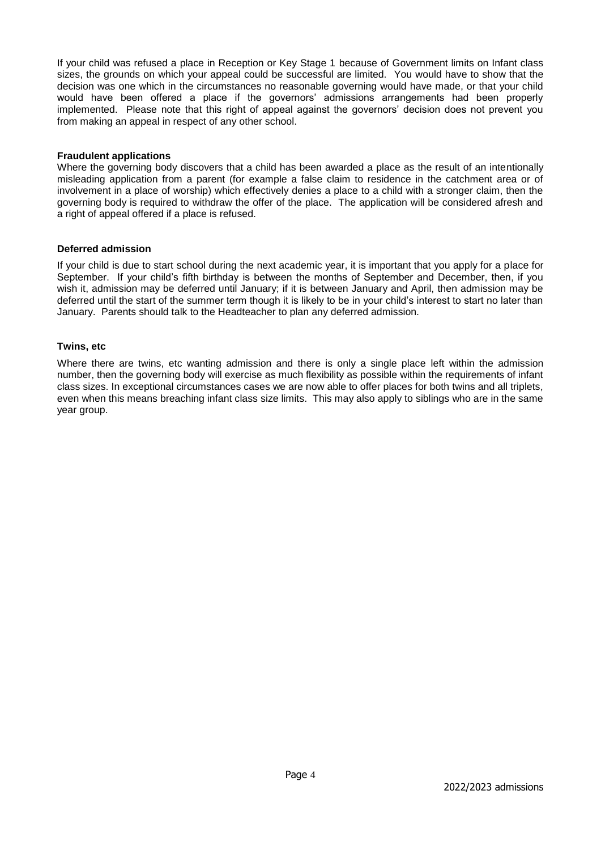If your child was refused a place in Reception or Key Stage 1 because of Government limits on Infant class sizes, the grounds on which your appeal could be successful are limited. You would have to show that the decision was one which in the circumstances no reasonable governing would have made, or that your child would have been offered a place if the governors' admissions arrangements had been properly implemented. Please note that this right of appeal against the governors' decision does not prevent you from making an appeal in respect of any other school.

#### **Fraudulent applications**

Where the governing body discovers that a child has been awarded a place as the result of an intentionally misleading application from a parent (for example a false claim to residence in the catchment area or of involvement in a place of worship) which effectively denies a place to a child with a stronger claim, then the governing body is required to withdraw the offer of the place. The application will be considered afresh and a right of appeal offered if a place is refused.

#### **Deferred admission**

If your child is due to start school during the next academic year, it is important that you apply for a place for September. If your child's fifth birthday is between the months of September and December, then, if you wish it, admission may be deferred until January; if it is between January and April, then admission may be deferred until the start of the summer term though it is likely to be in your child's interest to start no later than January. Parents should talk to the Headteacher to plan any deferred admission.

#### **Twins, etc**

Where there are twins, etc wanting admission and there is only a single place left within the admission number, then the governing body will exercise as much flexibility as possible within the requirements of infant class sizes. In exceptional circumstances cases we are now able to offer places for both twins and all triplets, even when this means breaching infant class size limits. This may also apply to siblings who are in the same year group.